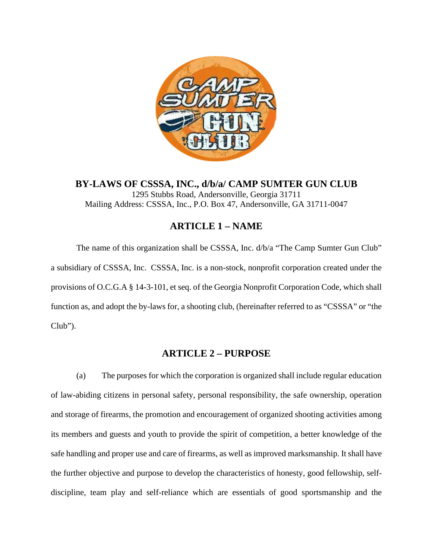

**BY-LAWS OF CSSSA, INC., d/b/a/ CAMP SUMTER GUN CLUB** 1295 Stubbs Road, Andersonville, Georgia 31711 Mailing Address: CSSSA, Inc., P.O. Box 47, Andersonville, GA 31711-0047

# **ARTICLE 1 – NAME**

The name of this organization shall be CSSSA, Inc.  $d/b/a$  "The Camp Sumter Gun Club" a subsidiary of CSSSA, Inc. CSSSA, Inc. is a non-stock, nonprofit corporation created under the provisions of O.C.G.A § 14-3-101, et seq. of the Georgia Nonprofit Corporation Code, which shall function as, and adopt the by-laws for, a shooting club, (hereinafter referred to as "CSSSA" or "the Club").

## **ARTICLE 2 – PURPOSE**

(a) The purposes for which the corporation is organized shall include regular education of law-abiding citizens in personal safety, personal responsibility, the safe ownership, operation and storage of firearms, the promotion and encouragement of organized shooting activities among its members and guests and youth to provide the spirit of competition, a better knowledge of the safe handling and proper use and care of firearms, as well as improved marksmanship. It shall have the further objective and purpose to develop the characteristics of honesty, good fellowship, selfdiscipline, team play and self-reliance which are essentials of good sportsmanship and the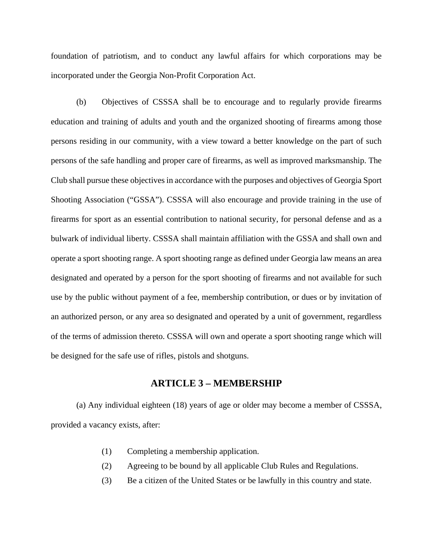foundation of patriotism, and to conduct any lawful affairs for which corporations may be incorporated under the Georgia Non-Profit Corporation Act.

(b) Objectives of CSSSA shall be to encourage and to regularly provide firearms education and training of adults and youth and the organized shooting of firearms among those persons residing in our community, with a view toward a better knowledge on the part of such persons of the safe handling and proper care of firearms, as well as improved marksmanship. The Club shall pursue these objectives in accordance with the purposes and objectives of Georgia Sport Shooting Association ("GSSA"). CSSSA will also encourage and provide training in the use of firearms for sport as an essential contribution to national security, for personal defense and as a bulwark of individual liberty. CSSSA shall maintain affiliation with the GSSA and shall own and operate a sport shooting range. A sport shooting range as defined under Georgia law means an area designated and operated by a person for the sport shooting of firearms and not available for such use by the public without payment of a fee, membership contribution, or dues or by invitation of an authorized person, or any area so designated and operated by a unit of government, regardless of the terms of admission thereto. CSSSA will own and operate a sport shooting range which will be designed for the safe use of rifles, pistols and shotguns.

#### **ARTICLE 3 – MEMBERSHIP**

(a) Any individual eighteen (18) years of age or older may become a member of CSSSA, provided a vacancy exists, after:

- (1) Completing a membership application.
- (2) Agreeing to be bound by all applicable Club Rules and Regulations.
- (3) Be a citizen of the United States or be lawfully in this country and state.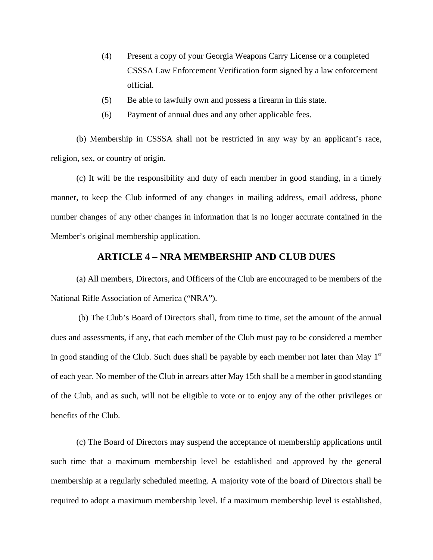- (4) Present a copy of your Georgia Weapons Carry License or a completed CSSSA Law Enforcement Verification form signed by a law enforcement official.
- (5) Be able to lawfully own and possess a firearm in this state.
- (6) Payment of annual dues and any other applicable fees.

(b) Membership in CSSSA shall not be restricted in any way by an applicant's race, religion, sex, or country of origin.

(c) It will be the responsibility and duty of each member in good standing, in a timely manner, to keep the Club informed of any changes in mailing address, email address, phone number changes of any other changes in information that is no longer accurate contained in the Member's original membership application.

## **ARTICLE 4 – NRA MEMBERSHIP AND CLUB DUES**

(a) All members, Directors, and Officers of the Club are encouraged to be members of the National Rifle Association of America ("NRA").

(b) The Club's Board of Directors shall, from time to time, set the amount of the annual dues and assessments, if any, that each member of the Club must pay to be considered a member in good standing of the Club. Such dues shall be payable by each member not later than May  $1<sup>st</sup>$ of each year. No member of the Club in arrears after May 15th shall be a member in good standing of the Club, and as such, will not be eligible to vote or to enjoy any of the other privileges or benefits of the Club.

(c) The Board of Directors may suspend the acceptance of membership applications until such time that a maximum membership level be established and approved by the general membership at a regularly scheduled meeting. A majority vote of the board of Directors shall be required to adopt a maximum membership level. If a maximum membership level is established,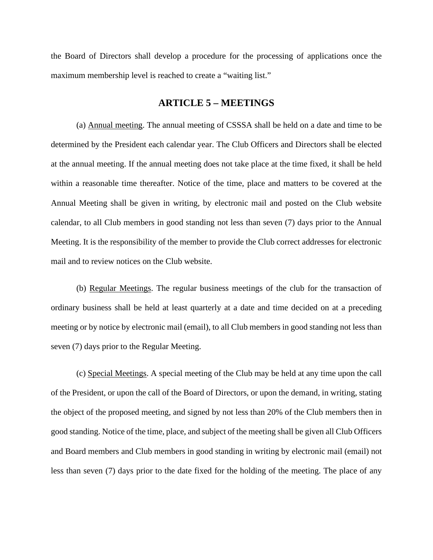the Board of Directors shall develop a procedure for the processing of applications once the maximum membership level is reached to create a "waiting list."

### **ARTICLE 5 – MEETINGS**

(a) Annual meeting. The annual meeting of CSSSA shall be held on a date and time to be determined by the President each calendar year. The Club Officers and Directors shall be elected at the annual meeting. If the annual meeting does not take place at the time fixed, it shall be held within a reasonable time thereafter. Notice of the time, place and matters to be covered at the Annual Meeting shall be given in writing, by electronic mail and posted on the Club website calendar, to all Club members in good standing not less than seven (7) days prior to the Annual Meeting. It is the responsibility of the member to provide the Club correct addresses for electronic mail and to review notices on the Club website.

(b) Regular Meetings. The regular business meetings of the club for the transaction of ordinary business shall be held at least quarterly at a date and time decided on at a preceding meeting or by notice by electronic mail (email), to all Club members in good standing not less than seven (7) days prior to the Regular Meeting.

(c) Special Meetings. A special meeting of the Club may be held at any time upon the call of the President, or upon the call of the Board of Directors, or upon the demand, in writing, stating the object of the proposed meeting, and signed by not less than 20% of the Club members then in good standing. Notice of the time, place, and subject of the meeting shall be given all Club Officers and Board members and Club members in good standing in writing by electronic mail (email) not less than seven (7) days prior to the date fixed for the holding of the meeting. The place of any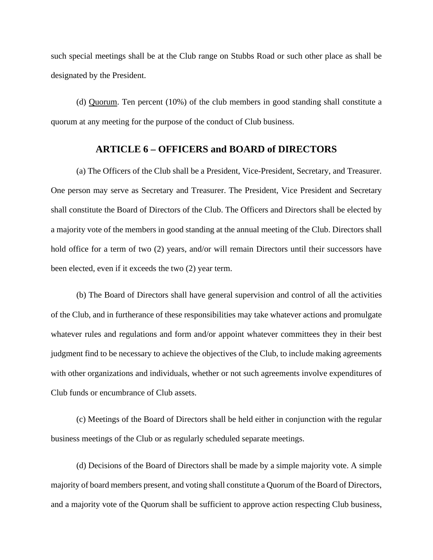such special meetings shall be at the Club range on Stubbs Road or such other place as shall be designated by the President.

(d) Quorum. Ten percent (10%) of the club members in good standing shall constitute a quorum at any meeting for the purpose of the conduct of Club business.

## **ARTICLE 6 – OFFICERS and BOARD of DIRECTORS**

(a) The Officers of the Club shall be a President, Vice-President, Secretary, and Treasurer. One person may serve as Secretary and Treasurer. The President, Vice President and Secretary shall constitute the Board of Directors of the Club. The Officers and Directors shall be elected by a majority vote of the members in good standing at the annual meeting of the Club. Directors shall hold office for a term of two (2) years, and/or will remain Directors until their successors have been elected, even if it exceeds the two (2) year term.

(b) The Board of Directors shall have general supervision and control of all the activities of the Club, and in furtherance of these responsibilities may take whatever actions and promulgate whatever rules and regulations and form and/or appoint whatever committees they in their best judgment find to be necessary to achieve the objectives of the Club, to include making agreements with other organizations and individuals, whether or not such agreements involve expenditures of Club funds or encumbrance of Club assets.

(c) Meetings of the Board of Directors shall be held either in conjunction with the regular business meetings of the Club or as regularly scheduled separate meetings.

(d) Decisions of the Board of Directors shall be made by a simple majority vote. A simple majority of board members present, and voting shall constitute a Quorum of the Board of Directors, and a majority vote of the Quorum shall be sufficient to approve action respecting Club business,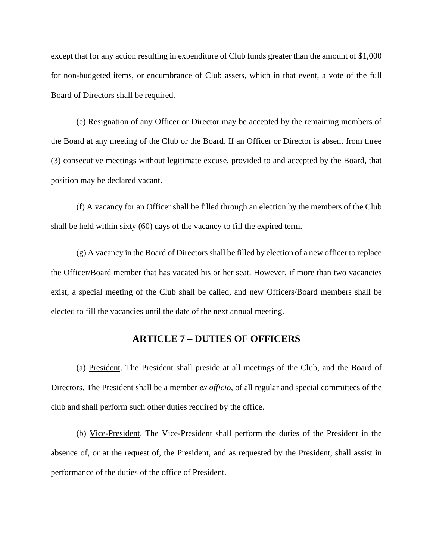except that for any action resulting in expenditure of Club funds greater than the amount of \$1,000 for non-budgeted items, or encumbrance of Club assets, which in that event, a vote of the full Board of Directors shall be required.

(e) Resignation of any Officer or Director may be accepted by the remaining members of the Board at any meeting of the Club or the Board. If an Officer or Director is absent from three (3) consecutive meetings without legitimate excuse, provided to and accepted by the Board, that position may be declared vacant.

(f) A vacancy for an Officer shall be filled through an election by the members of the Club shall be held within sixty (60) days of the vacancy to fill the expired term.

(g) A vacancy in the Board of Directors shall be filled by election of a new officer to replace the Officer/Board member that has vacated his or her seat. However, if more than two vacancies exist, a special meeting of the Club shall be called, and new Officers/Board members shall be elected to fill the vacancies until the date of the next annual meeting.

## **ARTICLE 7 – DUTIES OF OFFICERS**

(a) President. The President shall preside at all meetings of the Club, and the Board of Directors. The President shall be a member *ex officio,* of all regular and special committees of the club and shall perform such other duties required by the office.

(b) Vice-President. The Vice-President shall perform the duties of the President in the absence of, or at the request of, the President, and as requested by the President, shall assist in performance of the duties of the office of President.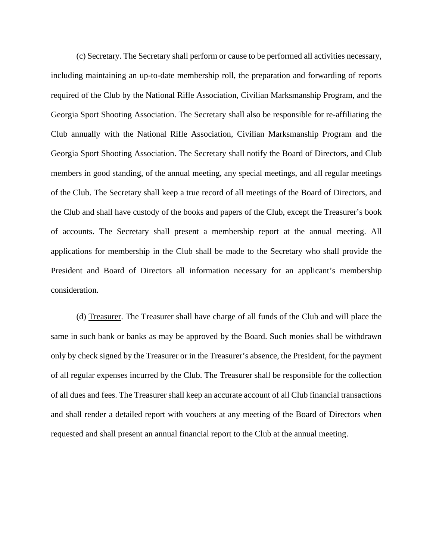(c) Secretary. The Secretary shall perform or cause to be performed all activities necessary, including maintaining an up-to-date membership roll, the preparation and forwarding of reports required of the Club by the National Rifle Association, Civilian Marksmanship Program, and the Georgia Sport Shooting Association. The Secretary shall also be responsible for re-affiliating the Club annually with the National Rifle Association, Civilian Marksmanship Program and the Georgia Sport Shooting Association. The Secretary shall notify the Board of Directors, and Club members in good standing, of the annual meeting, any special meetings, and all regular meetings of the Club. The Secretary shall keep a true record of all meetings of the Board of Directors, and the Club and shall have custody of the books and papers of the Club, except the Treasurer's book of accounts. The Secretary shall present a membership report at the annual meeting. All applications for membership in the Club shall be made to the Secretary who shall provide the President and Board of Directors all information necessary for an applicant's membership consideration.

(d) Treasurer. The Treasurer shall have charge of all funds of the Club and will place the same in such bank or banks as may be approved by the Board. Such monies shall be withdrawn only by check signed by the Treasurer or in the Treasurer's absence, the President, for the payment of all regular expenses incurred by the Club. The Treasurer shall be responsible for the collection of all dues and fees. The Treasurer shall keep an accurate account of all Club financial transactions and shall render a detailed report with vouchers at any meeting of the Board of Directors when requested and shall present an annual financial report to the Club at the annual meeting.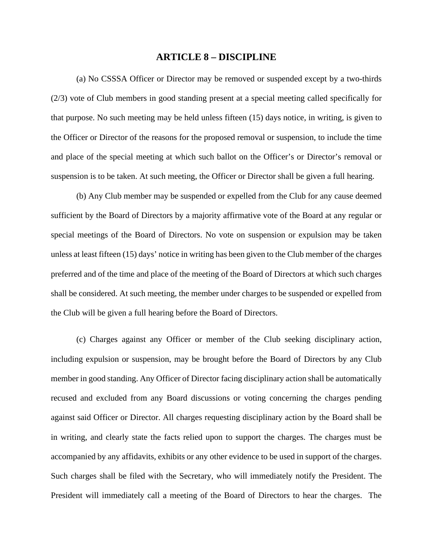#### **ARTICLE 8 – DISCIPLINE**

(a) No CSSSA Officer or Director may be removed or suspended except by a two-thirds (2/3) vote of Club members in good standing present at a special meeting called specifically for that purpose. No such meeting may be held unless fifteen (15) days notice, in writing, is given to the Officer or Director of the reasons for the proposed removal or suspension, to include the time and place of the special meeting at which such ballot on the Officer's or Director's removal or suspension is to be taken. At such meeting, the Officer or Director shall be given a full hearing.

(b) Any Club member may be suspended or expelled from the Club for any cause deemed sufficient by the Board of Directors by a majority affirmative vote of the Board at any regular or special meetings of the Board of Directors. No vote on suspension or expulsion may be taken unless at least fifteen (15) days' notice in writing has been given to the Club member of the charges preferred and of the time and place of the meeting of the Board of Directors at which such charges shall be considered. At such meeting, the member under charges to be suspended or expelled from the Club will be given a full hearing before the Board of Directors.

(c) Charges against any Officer or member of the Club seeking disciplinary action, including expulsion or suspension, may be brought before the Board of Directors by any Club member in good standing. Any Officer of Director facing disciplinary action shall be automatically recused and excluded from any Board discussions or voting concerning the charges pending against said Officer or Director. All charges requesting disciplinary action by the Board shall be in writing, and clearly state the facts relied upon to support the charges. The charges must be accompanied by any affidavits, exhibits or any other evidence to be used in support of the charges. Such charges shall be filed with the Secretary, who will immediately notify the President. The President will immediately call a meeting of the Board of Directors to hear the charges. The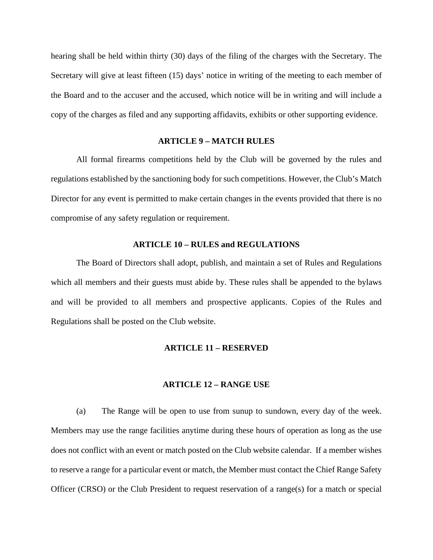hearing shall be held within thirty (30) days of the filing of the charges with the Secretary. The Secretary will give at least fifteen (15) days' notice in writing of the meeting to each member of the Board and to the accuser and the accused, which notice will be in writing and will include a copy of the charges as filed and any supporting affidavits, exhibits or other supporting evidence.

#### **ARTICLE 9 – MATCH RULES**

All formal firearms competitions held by the Club will be governed by the rules and regulations established by the sanctioning body for such competitions. However, the Club's Match Director for any event is permitted to make certain changes in the events provided that there is no compromise of any safety regulation or requirement.

#### **ARTICLE 10 – RULES and REGULATIONS**

The Board of Directors shall adopt, publish, and maintain a set of Rules and Regulations which all members and their guests must abide by. These rules shall be appended to the bylaws and will be provided to all members and prospective applicants. Copies of the Rules and Regulations shall be posted on the Club website.

#### **ARTICLE 11 – RESERVED**

#### **ARTICLE 12 – RANGE USE**

(a) The Range will be open to use from sunup to sundown, every day of the week. Members may use the range facilities anytime during these hours of operation as long as the use does not conflict with an event or match posted on the Club website calendar. If a member wishes to reserve a range for a particular event or match, the Member must contact the Chief Range Safety Officer (CRSO) or the Club President to request reservation of a range(s) for a match or special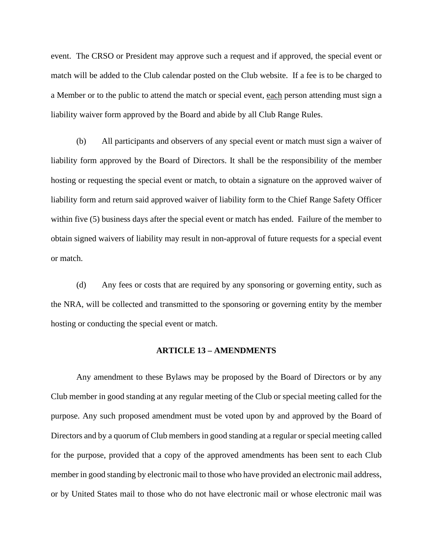event. The CRSO or President may approve such a request and if approved, the special event or match will be added to the Club calendar posted on the Club website. If a fee is to be charged to a Member or to the public to attend the match or special event, each person attending must sign a liability waiver form approved by the Board and abide by all Club Range Rules.

(b) All participants and observers of any special event or match must sign a waiver of liability form approved by the Board of Directors. It shall be the responsibility of the member hosting or requesting the special event or match, to obtain a signature on the approved waiver of liability form and return said approved waiver of liability form to the Chief Range Safety Officer within five (5) business days after the special event or match has ended. Failure of the member to obtain signed waivers of liability may result in non-approval of future requests for a special event or match.

(d) Any fees or costs that are required by any sponsoring or governing entity, such as the NRA, will be collected and transmitted to the sponsoring or governing entity by the member hosting or conducting the special event or match.

#### **ARTICLE 13 – AMENDMENTS**

Any amendment to these Bylaws may be proposed by the Board of Directors or by any Club member in good standing at any regular meeting of the Club or special meeting called for the purpose. Any such proposed amendment must be voted upon by and approved by the Board of Directors and by a quorum of Club members in good standing at a regular or special meeting called for the purpose, provided that a copy of the approved amendments has been sent to each Club member in good standing by electronic mail to those who have provided an electronic mail address, or by United States mail to those who do not have electronic mail or whose electronic mail was